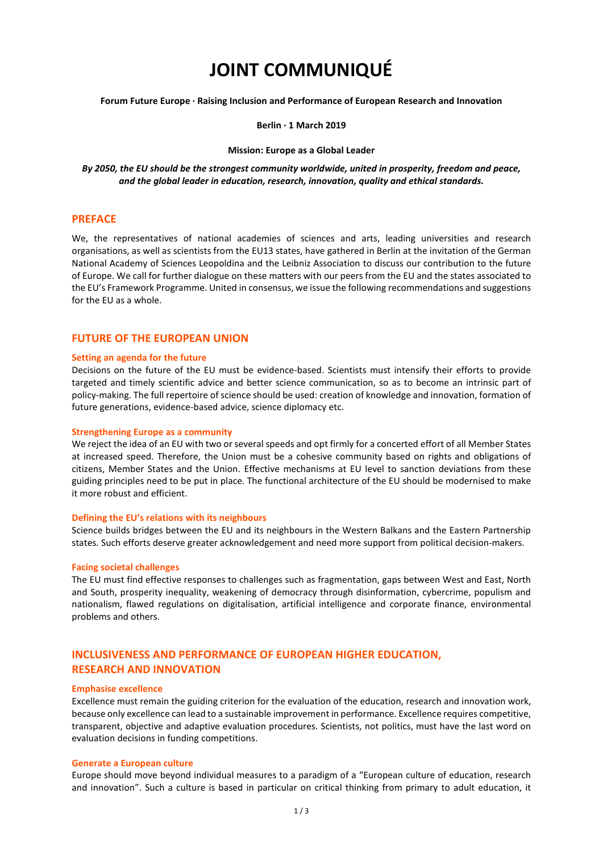# **JOINT COMMUNIQUÉ**

**Forum Future Europe · Raising Inclusion and Performance of European Research and Innovation**

**Berlin · 1 March 2019**

#### **Mission: Europe as a Global Leader**

*By 2050, the EU should be the strongest community worldwide, united in prosperity, freedom and peace, and the global leader in education, research, innovation, quality and ethical standards.*

# **PREFACE**

We, the representatives of national academies of sciences and arts, leading universities and research organisations, as well as scientists from the EU13 states, have gathered in Berlin at the invitation of the German National Academy of Sciences Leopoldina and the Leibniz Association to discuss our contribution to the future of Europe. We call for further dialogue on these matters with our peers from the EU and the states associated to the EU's Framework Programme. United in consensus, we issue the following recommendations and suggestions for the EU as a whole.

# **FUTURE OF THE EUROPEAN UNION**

#### **Setting an agenda for the future**

Decisions on the future of the EU must be evidence-based. Scientists must intensify their efforts to provide targeted and timely scientific advice and better science communication, so as to become an intrinsic part of policy-making. The full repertoire of science should be used: creation of knowledge and innovation, formation of future generations, evidence-based advice, science diplomacy etc.

# **Strengthening Europe as a community**

We reject the idea of an EU with two or several speeds and opt firmly for a concerted effort of all Member States at increased speed. Therefore, the Union must be a cohesive community based on rights and obligations of citizens, Member States and the Union. Effective mechanisms at EU level to sanction deviations from these guiding principles need to be put in place. The functional architecture of the EU should be modernised to make it more robust and efficient.

#### **Defining the EU's relations with its neighbours**

Science builds bridges between the EU and its neighbours in the Western Balkans and the Eastern Partnership states. Such efforts deserve greater acknowledgement and need more support from political decision-makers.

#### **Facing societal challenges**

The EU must find effective responses to challenges such as fragmentation, gaps between West and East, North and South, prosperity inequality, weakening of democracy through disinformation, cybercrime, populism and nationalism, flawed regulations on digitalisation, artificial intelligence and corporate finance, environmental problems and others.

# **INCLUSIVENESS AND PERFORMANCE OF EUROPEAN HIGHER EDUCATION, RESEARCH AND INNOVATION**

#### **Emphasise excellence**

Excellence must remain the guiding criterion for the evaluation of the education, research and innovation work, because only excellence can lead to a sustainable improvement in performance. Excellence requires competitive, transparent, objective and adaptive evaluation procedures. Scientists, not politics, must have the last word on evaluation decisions in funding competitions.

#### **Generate a European culture**

Europe should move beyond individual measures to a paradigm of a "European culture of education, research and innovation". Such a culture is based in particular on critical thinking from primary to adult education, it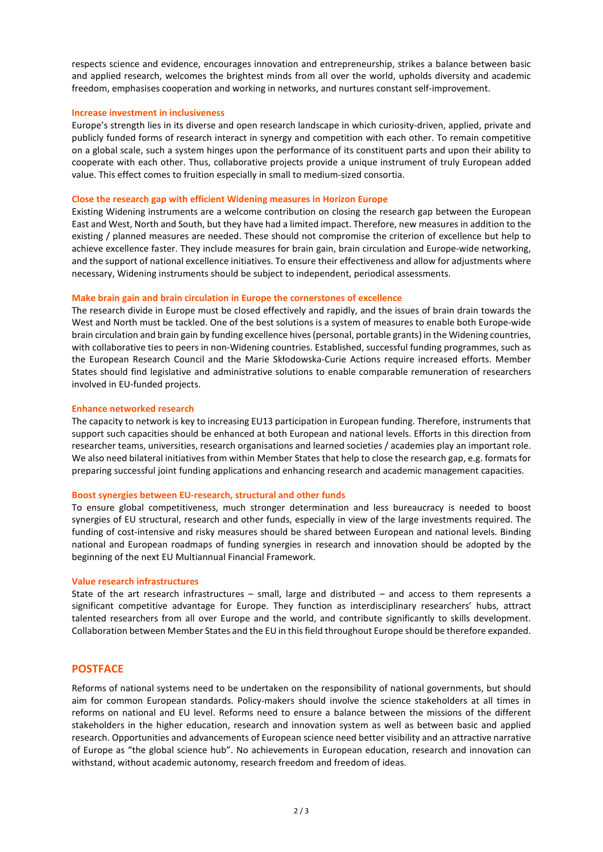respects science and evidence, encourages innovation and entrepreneurship, strikes a balance between basic and applied research, welcomes the brightest minds from all over the world, upholds diversity and academic freedom, emphasises cooperation and working in networks, and nurtures constant self-improvement.

#### **Increase investment in inclusiveness**

Europe's strength lies in its diverse and open research landscape in which curiosity-driven, applied, private and publicly funded forms of research interact in synergy and competition with each other. To remain competitive on a global scale, such a system hinges upon the performance of its constituent parts and upon their ability to cooperate with each other. Thus, collaborative projects provide a unique instrument of truly European added value. This effect comes to fruition especially in small to medium-sized consortia.

# **Close the research gap with efficient Widening measures in Horizon Europe**

Existing Widening instruments are a welcome contribution on closing the research gap between the European East and West, North and South, but they have had a limited impact. Therefore, new measures in addition to the existing / planned measures are needed. These should not compromise the criterion of excellence but help to achieve excellence faster. They include measures for brain gain, brain circulation and Europe-wide networking, and the support of national excellence initiatives. To ensure their effectiveness and allow for adjustments where necessary, Widening instruments should be subject to independent, periodical assessments.

# **Make brain gain and brain circulation in Europe the cornerstones of excellence**

The research divide in Europe must be closed effectively and rapidly, and the issues of brain drain towards the West and North must be tackled. One of the best solutions is a system of measures to enable both Europe-wide brain circulation and brain gain by funding excellence hives (personal, portable grants) in the Widening countries, with collaborative ties to peers in non-Widening countries. Established, successful funding programmes, such as the European Research Council and the Marie Skłodowska-Curie Actions require increased efforts. Member States should find legislative and administrative solutions to enable comparable remuneration of researchers involved in EU-funded projects.

### **Enhance networked research**

The capacity to network is key to increasing EU13 participation in European funding. Therefore, instruments that support such capacities should be enhanced at both European and national levels. Efforts in this direction from researcher teams, universities, research organisations and learned societies / academies play an important role. We also need bilateral initiatives from within Member States that help to close the research gap, e.g. formats for preparing successful joint funding applications and enhancing research and academic management capacities.

#### **Boost synergies between EU-research, structural and other funds**

To ensure global competitiveness, much stronger determination and less bureaucracy is needed to boost synergies of EU structural, research and other funds, especially in view of the large investments required. The funding of cost-intensive and risky measures should be shared between European and national levels. Binding national and European roadmaps of funding synergies in research and innovation should be adopted by the beginning of the next EU Multiannual Financial Framework.

#### **Value research infrastructures**

State of the art research infrastructures – small, large and distributed – and access to them represents a significant competitive advantage for Europe. They function as interdisciplinary researchers' hubs, attract talented researchers from all over Europe and the world, and contribute significantly to skills development. Collaboration between Member States and the EU in this field throughout Europe should be therefore expanded.

# **POSTFACE**

Reforms of national systems need to be undertaken on the responsibility of national governments, but should aim for common European standards. Policy-makers should involve the science stakeholders at all times in reforms on national and EU level. Reforms need to ensure a balance between the missions of the different stakeholders in the higher education, research and innovation system as well as between basic and applied research. Opportunities and advancements of European science need better visibility and an attractive narrative of Europe as "the global science hub". No achievements in European education, research and innovation can withstand, without academic autonomy, research freedom and freedom of ideas.